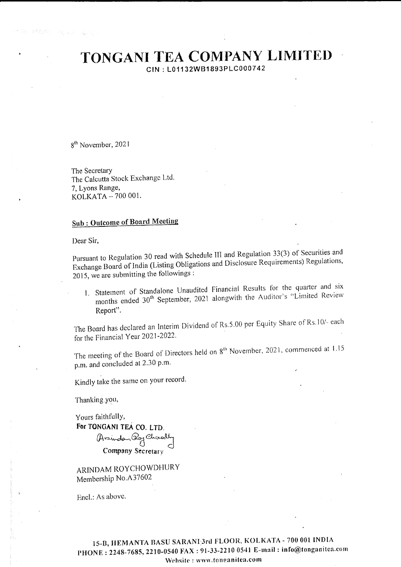# TONGANI TEA COMPANY LIMITED

CIN: L01132WB1893PLC000742

8<sup>th</sup> November, 2021

The Secretary The Calcutta Stock Exchange Ltd. 7, Lyons Range, KOLKATA - 700 001.

### **Sub: Outcome of Board Meeting**

Dear Sir,

Pursuant to Regulation 30 read with Schedule III and Regulation 33(3) of Securities and Exchange Board of India (Listing Obligations and Disclosure Requirements) Regulations, 2015, we are submitting the followings:

1. Statement of Standalone Unaudited Financial Results for the quarter and six months ended 30<sup>th</sup> September, 2021 alongwith the Auditor's "Limited Review Report".

The Board has declared an Interim Dividend of Rs.5.00 per Equity Share of Rs.10/- each for the Financial Year 2021-2022.

The meeting of the Board of Directors held on 8<sup>th</sup> November, 2021, commenced at 1.15 p.m. and concluded at 2.30 p.m.

Kindly take the same on your record.

Thanking you,

Yours faithfully, For TONGANI TEA CO. LTD.

MUAN Par Co. Chronolly Company Secretary

ARINDAM ROYCHOWDHURY Membership No.A37602

Encl.: As above.

15-B, HEMANTA BASU SARANI 3rd FLOOR, KOLKATA - 700 001 INDIA PHONE: 2248-7685, 2210-0540 FAX: 91-33-2210 0541 E-mail: info@tonganitea.com Website: www.tonganitea.com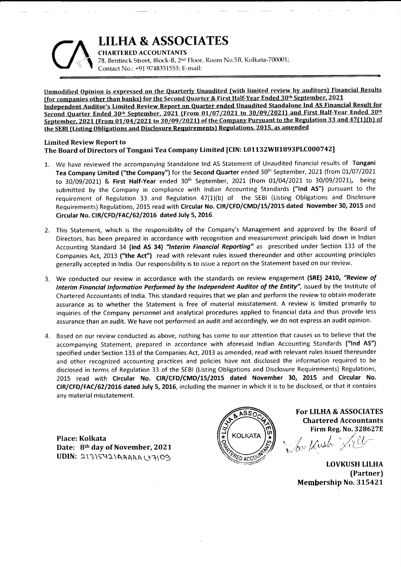### LILHA & ASSOCIATES



**CHARTERED ACCOUNTANTS** 78. Bentinck Street, Block-B, 2<sup>nd</sup> Floor, Room No.5B, Kolkata-700001; Contact No.: +91 9748331553; E-mail:

Unmodified Opinion is expressed on the Quarterly Unaudited (with limited review by auditors) Financial Results [for companies other than banks] for the Second Ouarter & First Half-Year Ended 30th September. <sup>2021</sup> Independent Auditor's Limited Review Report on Quarrer ended Unaudited Standalone Ind AS Financial Result for Second Quarter Ended 30th September, 2021 (From 01/07/2021 to 30/09/2021) and First Half-Year Ended 30th September, 2021 (From 01/04/2021 to 30/09/2021) of the Company Pursuant to the Regulation 33 and 47(1)(b) of the SEBI (Listing Obligations and Disclosure Requirements) Regulations. 2015, as amended

### Limited Review Report to The Board of Directors of Tongani Tea Ccmpany Limited [CIN: IO1132WB1893PLCOOO742]

- 1. We have reviewed the accompanying Standalone lnd AS Statement of Unaudited financial results of Tongani Tea Company Limited ("the Company") for the Second Quarter ended 30<sup>th</sup> September, 2021 (from 01/07/2021 to 30/09/2021) & First Half-Year ended 30<sup>th</sup> September, 2021 (from 01/04/2021 to 30/09/2021), being submitted by the Company in compliance with Indian Accounting Standards ("Ind AS") pursuant to the requirement of Regulation 33 and Regulation a7{1)(b) of the SEBl {Listing Obligations and Disclosure Requirements) Regulations, 2015 read with Circular No. CIR/CFD/CMD/15/2015 dated November 30, 2015 and Circular No. CIR/CFD/FAC/62/2016 dated July 5, 2016.
- 2. This Statement, which is the responsibility of the Company's Management and approved by the Board of Directors, has been prepared in accordance with recognition and measurement principals laid down in lndian Accounting Standard 34 (Ind AS 34) "Interim Financial Reporting" as prescribed under Section 133 of the Companies Act, 2013 ("the Act") read with relevant rules issued thereunder and other accounting principles generally accepted in lndia. Our responsibility is to issue a report on the Statement based on our review.
- 3. We conducted our review in accordance with the standards on review engagement (SRE) 2410, "Review of Interim Financial Information Performed by the Independent Auditor of the Entity", issued by the Institute of Chartered Accountants of lndia. This standard requires that we plan and perform the review to obtain moderate assurance as to whether the Statement is free of material misstatement. A review is limited primarily to inquiries of the Company personnel and analytical procedures applied to financial data and thus provide less assurance than an audit. We have not performed an audit and accordingly, we do not express an audit opinion.
- 4. Based on our review conducted as above, nothing has come to our attention that causes us to believe that the accompanying Statement, prepared in accordance with aforesaid Indian Accounting Standards ("Ind AS") specified under Section 133 of the Companies Act, 2013 as amended, read with relevant rules issued thereunder and other recognized accounting practices and policies have not disclosed the information required to be disclosed in terms of Regulation 33 of the SEBI (Listing Obligations and Disclosure Requirements) Regulations, 2015 read with Circular No. CIR/CFD/CMD/15/2015 dated November 30, 2015 and Circular No. CIR/CFD/FAC/62/2016 dated July 5, 2016, including the manner in which it is to be disclosed, or that it contains <sup>a</sup>ny material misstatement.

Place: Kolkata Date: 8th day of November, 2021 UDIN: 2\3\542\AAAAAU7\09



SSON For LILHA & ASSOCIATES Chartered Accountants Firm Reg. No.328627f.

i  $i$  i  $j$   $\rightarrow$   $\neq$ Law Kuth Xiller

LOVKUSH LILHA {Partner) Membership No. 315421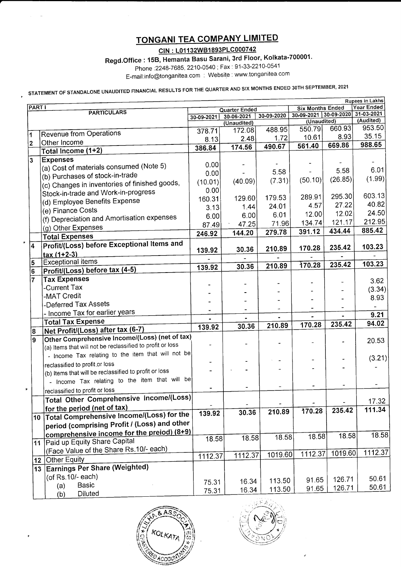## TONGANI TEA COMPANY LIMITED

CIN : L01132W81893PLC000742

Regd.Office: 15B, Hemanta Basu Sarani, 3rd Floor, Kolkata-700001.

Phone .2248-7685, 2210-0540 ; Fax 91-33-2210-0541

E-mail:info@tonganitea com : Website : www tonganitea com

STATEMENT OF STANDALONE UNAUDITED FINANCIAL RESULTS FOR THE QUARTER AND SIX MONTHS ENDED 30TH SEPTEMBER, 2021

| <b>Rupees in Lakhs</b>              |                                                           |               |             |                |                                      |         |                         |  |  |
|-------------------------------------|-----------------------------------------------------------|---------------|-------------|----------------|--------------------------------------|---------|-------------------------|--|--|
| <b>PART I</b><br><b>PARTICULARS</b> |                                                           | Quarter Ended |             |                | <b>Six Months Ended</b>              |         | Year Ended              |  |  |
|                                     |                                                           | 30-09-2021    | 30-06-2021  | 30-09-2020     | 30-09-2021 30-09-2020<br>(Unaudited) |         | 31-03-2021<br>(Audited) |  |  |
|                                     |                                                           |               | (Unaudited) | 488.95         | 550.79                               | 660.93  | 953.50                  |  |  |
| 1                                   | <b>Revenue from Operations</b>                            | 378.71        | 172.08      |                | 10.61                                | 8.93    | 35.15                   |  |  |
| 2                                   | Other Income                                              | 8.13          | 2.48        | 1.72           | 561.40                               | 669.86  | 988.65                  |  |  |
|                                     | Total Income (1+2)                                        | 386.84        | 174.56      | 490.67         |                                      |         |                         |  |  |
| 3                                   | <b>Expenses</b>                                           |               |             |                |                                      |         |                         |  |  |
|                                     | (a) Cost of materials consumed (Note 5)                   | 0.00          |             |                |                                      | 5.58    | 6.01                    |  |  |
|                                     | (b) Purchases of stock-in-trade                           | 0.00          |             | 5.58           |                                      | (26.85) | (1.99)                  |  |  |
|                                     | (c) Changes in inventories of finished goods,             | (10.01)       | (40.09)     | (7.31)         | (50.10)                              |         |                         |  |  |
|                                     | Stock-in-trade and Work-in-progress                       | 0.00          |             |                |                                      |         | 603.13                  |  |  |
|                                     | (d) Employee Benefits Expense                             | 160.31        | 129.60      | 179.53         | 289.91                               | 295.30  | 40.82                   |  |  |
|                                     | (e) Finance Costs                                         | 3.13          | 1.44        | 24.01          | 4.57                                 | 27.22   |                         |  |  |
|                                     | (f) Depreciation and Amortisation expenses                | 6.00          | 6.00        | 6.01           | 12.00                                | 12.02   | 24.50                   |  |  |
|                                     | (g) Other Expenses                                        | 87.49         | 47.25       | 71.96          | 134.74                               | 121.17  | 212.95                  |  |  |
|                                     | <b>Total Expenses</b>                                     | 246.92        | 144.20      | 279.78         | 391.12                               | 434.44  | 885.42                  |  |  |
|                                     | Profit/(Loss) before Exceptional Items and                |               |             |                |                                      |         |                         |  |  |
| $\overline{\mathbf{4}}$             |                                                           | 139.92        | 30.36       | 210.89         | 170.28                               | 235.42  | 103.23                  |  |  |
|                                     | $tax(1+2-3)$<br><b>Exceptional items</b>                  |               |             |                |                                      |         |                         |  |  |
| 5                                   |                                                           | 139.92        | 30.36       | 210.89         | 170.28                               | 235.42  | 103.23                  |  |  |
| 6                                   | Profit/(Loss) before tax (4-5)                            |               |             |                |                                      |         |                         |  |  |
| $\overline{7}$                      | <b>Tax Expenses</b>                                       |               |             |                |                                      |         | 3.62                    |  |  |
|                                     | -Current Tax                                              |               |             |                |                                      |         | (3.34)                  |  |  |
|                                     | -MAT Credit                                               |               |             |                |                                      |         | 8.93                    |  |  |
|                                     | -Deferred Tax Assets                                      |               |             |                |                                      |         |                         |  |  |
|                                     | - Income Tax for earlier years                            |               |             | $\blacksquare$ |                                      |         | 9.21                    |  |  |
|                                     | <b>Total Tax Expense</b>                                  | 139.92        | 30.36       | 210.89         | 170.28                               | 235.42  | 94.02                   |  |  |
| 8                                   | Net Profit/(Loss) after tax (6-7)                         |               |             |                |                                      |         |                         |  |  |
| 9                                   | Other Comprehensive Income/(Loss) (net of tax)            |               |             |                |                                      |         | 20.53                   |  |  |
|                                     | (a) Items that will not be reclassified to profit or loss |               |             |                |                                      |         |                         |  |  |
|                                     | - Income Tax relating to the item that will not be        |               |             |                |                                      |         | (3.21)                  |  |  |
|                                     | reclassified to profit or loss                            |               |             |                |                                      |         |                         |  |  |
|                                     | (b) Items that will be reclassified to profit or loss     |               |             |                |                                      |         |                         |  |  |
|                                     | - Income Tax relating to the item that will be            |               |             |                | ۰                                    |         |                         |  |  |
|                                     | reclassified to profit or loss                            |               |             |                |                                      |         |                         |  |  |
|                                     | Total Other Comprehensive Income/(Loss)                   |               |             |                |                                      |         | 17.32                   |  |  |
|                                     | for the period (net of tax)                               |               |             |                | 170.28                               | 235.42  | 111.34                  |  |  |
|                                     | 10 Total Comprehensive Income/(Loss) for the              | 139.92        | 30.36       | 210.89         |                                      |         |                         |  |  |
|                                     | period (comprising Profit / (Loss) and other              |               |             |                |                                      |         |                         |  |  |
|                                     | comprehensive income for the preiod) (8+9)                |               |             |                |                                      |         | 18.58                   |  |  |
|                                     | 11 Paid up Equity Share Capital                           | 18.58         | 18.58       | 18.58          | 18.58                                | 18.58   |                         |  |  |
|                                     | (Face Value of the Share Rs.10/- each)                    |               |             |                |                                      |         |                         |  |  |
|                                     | 12 Other Equity                                           | 1112.37       | 1112.37     | 1019.60        | 1112.37                              | 1019.60 | 1112.37                 |  |  |
|                                     | 13 Earnings Per Share (Weighted)                          |               |             |                |                                      |         |                         |  |  |
|                                     | (of Rs.10/- each)                                         |               |             |                |                                      |         |                         |  |  |
|                                     |                                                           | 75.31         | 16.34       | 113.50         | 91.65                                | 126.71  | 50.61                   |  |  |
|                                     | Basic<br>(a)                                              | 75.31         | 16.34       | 113.50         | 91.65                                | 126.71  | 50.61                   |  |  |
|                                     | Diluted<br>(b)                                            |               |             |                |                                      |         |                         |  |  |

 $K$ Olkan ACCOUN

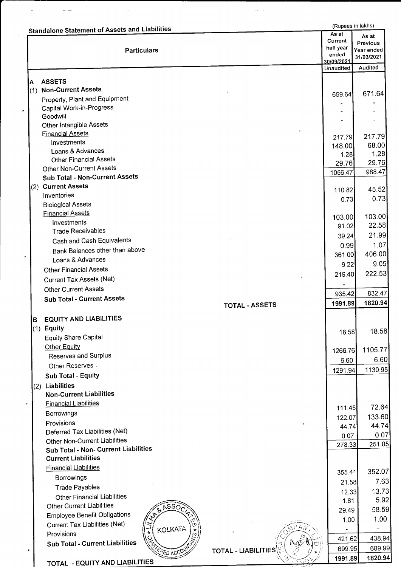|     | <b>Standalone Statement of Assets and Liabilities</b>           |                       |                               | (Rupees in lakhs)                      |  |
|-----|-----------------------------------------------------------------|-----------------------|-------------------------------|----------------------------------------|--|
|     | <b>Particulars</b>                                              |                       | As at<br>Current<br>half year | As at<br><b>Previous</b><br>Year ended |  |
|     |                                                                 |                       | ended<br>30/09/2021           | 31/03/2021                             |  |
|     |                                                                 |                       | <b>Unaudited</b>              | Audited                                |  |
| A   | <b>ASSETS</b>                                                   |                       |                               |                                        |  |
| (1) | <b>Non-Current Assets</b>                                       |                       | 659.64                        | 671.64                                 |  |
|     | Property, Plant and Equipment                                   |                       |                               |                                        |  |
|     | Capital Work-in-Progress<br>Goodwill                            |                       |                               |                                        |  |
|     | Other Intangible Assets                                         |                       |                               |                                        |  |
|     | <b>Financial Assets</b>                                         |                       |                               | 217.79                                 |  |
|     | Investments                                                     |                       | 217.79<br>148.00              | 68.00                                  |  |
|     | Loans & Advances                                                |                       | 1.28                          | 1.28                                   |  |
|     | <b>Other Financial Assets</b>                                   |                       | 29.76                         | 29.76                                  |  |
|     | <b>Other Non-Current Assets</b>                                 |                       | 1056.47                       | 988.47                                 |  |
|     | <b>Sub Total - Non-Current Assets</b>                           |                       |                               |                                        |  |
|     | (2) Current Assets                                              |                       | 110.82                        | 45.52                                  |  |
|     | Inventories                                                     |                       | 0.73                          | 0.73                                   |  |
|     | <b>Biological Assets</b><br><b>Financial Assets</b>             |                       |                               |                                        |  |
|     | Investments                                                     |                       | 103.00                        | 103.00                                 |  |
|     | <b>Trade Receivables</b>                                        |                       | 91.02                         | 22.58                                  |  |
|     | Cash and Cash Equivalents                                       |                       | 39.24                         | 21.99                                  |  |
|     | Bank Balances other than above                                  |                       | 0.99                          | 1.07                                   |  |
|     | Loans & Advances                                                |                       | 361.00                        | 406.00                                 |  |
|     | <b>Other Financial Assets</b>                                   |                       | 9.22                          | 9.05                                   |  |
|     | <b>Current Tax Assets (Net)</b>                                 |                       | 219.40                        | 222.53                                 |  |
|     | <b>Other Current Assets</b>                                     |                       |                               |                                        |  |
|     | <b>Sub Total - Current Assets</b>                               |                       | 935.42                        | 832.47                                 |  |
|     |                                                                 | <b>TOTAL - ASSETS</b> | 1991.89                       | 1820.94                                |  |
| B   | <b>EQUITY AND LIABILITIES</b>                                   |                       |                               |                                        |  |
|     | (1) Equity                                                      |                       | 18.58                         | 18.58                                  |  |
|     | <b>Equity Share Capital</b>                                     |                       |                               |                                        |  |
|     | Other Equity                                                    |                       | 1266.76                       | 1105.77                                |  |
|     | Reserves and Surplus                                            |                       | 6.60                          | 6.60                                   |  |
|     | Other Reserves                                                  |                       | 1291.94                       | 1130.95                                |  |
|     | Sub Total - Equity                                              |                       |                               |                                        |  |
|     | (2) Liabilities                                                 |                       |                               |                                        |  |
|     | <b>Non-Current Liabilities</b>                                  |                       |                               |                                        |  |
|     | <b>Financial Liabilities</b>                                    |                       | 111.45                        | 72.64                                  |  |
|     | Borrowings                                                      |                       | 122.07                        | 133.60                                 |  |
|     | Provisions                                                      |                       | 44.74                         | 44.74                                  |  |
|     | Deferred Tax Liabilities (Net)<br>Other Non-Current Liabilities |                       | 0.07                          | 0.07                                   |  |
|     | Sub Total - Non- Current Liabilities                            |                       | 278.33                        | 251.05                                 |  |
|     | <b>Current Liabilities</b>                                      |                       |                               |                                        |  |
|     | <b>Financial Liabilities</b>                                    |                       |                               |                                        |  |
|     | Borrowings                                                      |                       | 355.41                        | 352.07                                 |  |
|     | <b>Trade Payables</b>                                           |                       | 21.58                         | 7.63                                   |  |
|     | <b>Other Financial Liabilities</b>                              |                       | 12.33                         | 13.73                                  |  |
|     | Other Current Liabilities<br>6550                               |                       | 1.81                          | 5.92                                   |  |
|     | <b>Employee Benefit Obligations</b>                             |                       | 29.49                         | 58.59                                  |  |
|     | <b>Current Tax Liabilities (Net)</b>                            |                       | 1.00                          | 1.00                                   |  |
|     | KOLKATA<br>Provisions                                           |                       |                               |                                        |  |
|     | Sub Total - Current Liabilities                                 |                       | 421.62                        | 438.94                                 |  |
|     | <b>PED ACCO</b>                                                 | TOTAL - LIABILITIES   | 699.95                        | 689.99                                 |  |
|     | TOTAL - EQUITY AND LIABILITIES                                  |                       | 1991.89                       | 1820.94                                |  |

 $\hat{\mathcal{L}}$  , and  $\hat{\mathcal{L}}$ 

 $\label{eq:1} \begin{split} \mathcal{L}_{\text{max}} = \mathcal{L}_{\text{max}} = \mathcal{L}_{\text{max}} = \mathcal{L}_{\text{max}} = \mathcal{L}_{\text{max}} = \mathcal{L}_{\text{max}} = \mathcal{L}_{\text{max}} = \mathcal{L}_{\text{max}} = \mathcal{L}_{\text{max}} = \mathcal{L}_{\text{max}} = \mathcal{L}_{\text{max}} = \mathcal{L}_{\text{max}} = \mathcal{L}_{\text{max}} = \mathcal{L}_{\text{max}} = \mathcal{L}_{\text{max}} = \mathcal{L}_{\text{max}} = \mathcal{L}_{\text{max}} = \mathcal{$ 

 $\mathcal{L}_{\mathcal{A}}$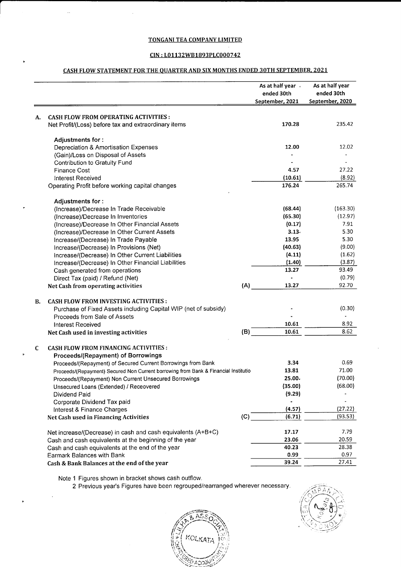#### TONGANI TEA COMPANY LIMITED

#### CIN : L01132WB1893PLC000742

### CASH FLOW STATEMENT FOR THE QUARTER AND SIX MONTHS ENDED 30TH SEPTEMBER, 2021

|    |                                                                                     |     | As at half year<br>ended 30th | As at half year<br>ended 30th |
|----|-------------------------------------------------------------------------------------|-----|-------------------------------|-------------------------------|
|    |                                                                                     |     | September, 2021               | September, 2020               |
| А. | <b>CASH FLOW FROM OPERATING ACTIVITIES:</b>                                         |     |                               |                               |
|    | Net Profit/(Loss) before tax and extraordinary items                                |     | 170.28                        | 235.42                        |
|    | Adjustments for:                                                                    |     |                               |                               |
|    | Depreciation & Amortisation Expenses                                                |     | 12.00                         | 12.02                         |
|    | (Gain)/Loss on Disposal of Assets                                                   |     |                               |                               |
|    | Contribution to Gratuity Fund                                                       |     |                               |                               |
|    | <b>Finance Cost</b>                                                                 |     | 4.57                          | 27.22                         |
|    | Interest Received                                                                   |     | (10.61)                       | (8.92)                        |
|    | Operating Profit before working capital changes                                     |     | 176.24                        | 265.74                        |
|    | Adjustments for:                                                                    |     |                               |                               |
|    | (Increase)/Decrease In Trade Receivable                                             |     | (68.44)                       | (163.30)                      |
|    | (Increase)/Decrease In Inventories                                                  |     | (65.30)                       | (12.97)                       |
|    | (Increase)/Decrease In Other Financial Assets                                       |     | (0.17)                        | 7.91                          |
|    | (Increase)/Decrease In Other Current Assets                                         |     | 3.13.                         | 5.30                          |
|    | Increase/(Decrease) In Trade Payable                                                |     | 13.95                         | 5.30                          |
|    | Increase/(Decrease) In Provisions (Net)                                             |     | (40.63)                       | (9.00)                        |
|    | Increase/(Decrease) In Other Current Liabilities                                    |     | (4.11)                        | (1.62)                        |
|    | Increase/(Decrease) In Other Financial Liabilities                                  |     | (1.40)                        | (3.87)                        |
|    | Cash generated from operations                                                      |     | 13.27                         | 93.49                         |
|    | Direct Tax (paid) / Refund (Net)                                                    |     |                               | (0.79)                        |
|    | Net Cash from operating activities                                                  | (A) | 13.27                         | 92.70                         |
| В. | <b>CASH FLOW FROM INVESTING ACTIVITIES:</b>                                         |     |                               |                               |
|    | Purchase of Fixed Assets including Capital WIP (net of subsidy)                     |     |                               | (0.30)                        |
|    | Proceeds from Sale of Assets                                                        |     |                               |                               |
|    | <b>Interest Received</b>                                                            |     | 10.61                         | 8.92                          |
|    | Net Cash used in investing activities                                               | (B) | 10.61                         | 8.62                          |
| C  | CASH FLOW FROM FINANCING ACTIVITIES :                                               |     |                               |                               |
|    | Proceeds/(Repayment) of Borrowings                                                  |     |                               |                               |
|    | Proceeds/(Repayment) of Secured Current Borrowings from Bank                        |     | 3.34                          | 0.69                          |
|    | Proceeds/(Repayment) Secured Non Current borrowing from Bank & Financial Institutio |     | 13.81                         | 71.00                         |
|    | Proceeds/(Repayment) Non Current Unsecured Borrowings                               |     | 25.00.                        | (70.00)                       |
|    | Unsecured Loans (Extended) / Receovered                                             |     | (35.00)                       | (68.00)                       |
|    | Dividend Paid                                                                       |     | (9.29)                        |                               |
|    | Corporate Dividend Tax paid                                                         |     |                               |                               |
|    | Interest & Finance Charges                                                          |     | (4.57)                        | (27.22)                       |
|    | Net Cash used in Financing Activities                                               | (C) | (6.71)                        | (93.53)                       |
|    | Net increase/(Decrease) in cash and cash equivalents (A+B+C)                        |     | 17.17                         | 7.79                          |
|    | Cash and cash equivalents at the beginning of the year                              |     | 23.06                         | 20.59                         |
|    | Cash and cash equivalents at the end of the year                                    |     | 40.23                         | 28.38                         |
|    | Earmark Balances with Bank                                                          |     | 0.99                          | 0.97                          |
|    | Cash & Bank Balances at the end of the year                                         |     | 39.24                         | 27.41                         |

Note 1 Figures shown in bracket shows cash outflow.

2 Previous year's Figures have been regrouped/rearranged wherever necessary